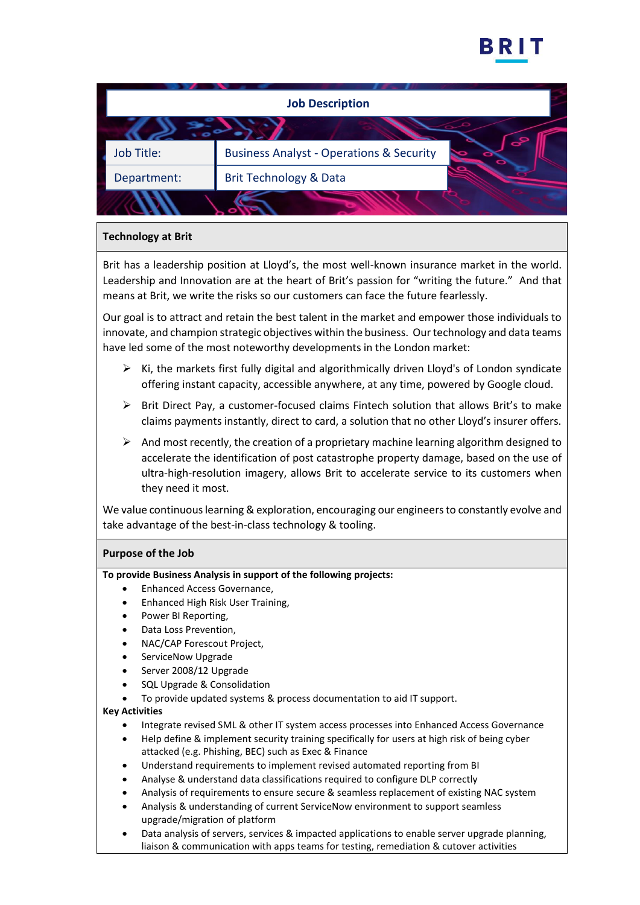

| <b>Job Description</b> |                                                                     |
|------------------------|---------------------------------------------------------------------|
|                        |                                                                     |
| Job Title:             | $\mathbf{S}$<br><b>Business Analyst - Operations &amp; Security</b> |
| Department:            | Brit Technology & Data                                              |
|                        |                                                                     |

## **Technology at Brit**

Brit has a leadership position at Lloyd's, the most well-known insurance market in the world. Leadership and Innovation are at the heart of Brit's passion for "writing the future." And that means at Brit, we write the risks so our customers can face the future fearlessly.

Our goal is to attract and retain the best talent in the market and empower those individuals to innovate, and champion strategic objectives within the business. Our technology and data teams have led some of the most noteworthy developments in the London market:

- ➢ Ki, the markets first fully digital and algorithmically driven Lloyd's of London syndicate offering instant capacity, accessible anywhere, at any time, powered by Google cloud.
- $\triangleright$  Brit Direct Pay, a customer-focused claims Fintech solution that allows Brit's to make claims payments instantly, direct to card, a solution that no other Lloyd's insurer offers.
- $\triangleright$  And most recently, the creation of a proprietary machine learning algorithm designed to accelerate the identification of post catastrophe property damage, based on the use of ultra-high-resolution imagery, allows Brit to accelerate service to its customers when they need it most.

We value continuous learning & exploration, encouraging our engineers to constantly evolve and take advantage of the best-in-class technology & tooling.

# **Purpose of the Job**

**To provide Business Analysis in support of the following projects:** 

- Enhanced Access Governance,
- Enhanced High Risk User Training,
- Power BI Reporting,
- Data Loss Prevention,
- NAC/CAP Forescout Project,
- ServiceNow Upgrade
- Server 2008/12 Upgrade
- SQL Upgrade & Consolidation
- To provide updated systems & process documentation to aid IT support.

#### **Key Activities**

- Integrate revised SML & other IT system access processes into Enhanced Access Governance
- Help define & implement security training specifically for users at high risk of being cyber attacked (e.g. Phishing, BEC) such as Exec & Finance
- Understand requirements to implement revised automated reporting from BI
- Analyse & understand data classifications required to configure DLP correctly
- Analysis of requirements to ensure secure & seamless replacement of existing NAC system
- Analysis & understanding of current ServiceNow environment to support seamless upgrade/migration of platform
- Data analysis of servers, services & impacted applications to enable server upgrade planning, liaison & communication with apps teams for testing, remediation & cutover activities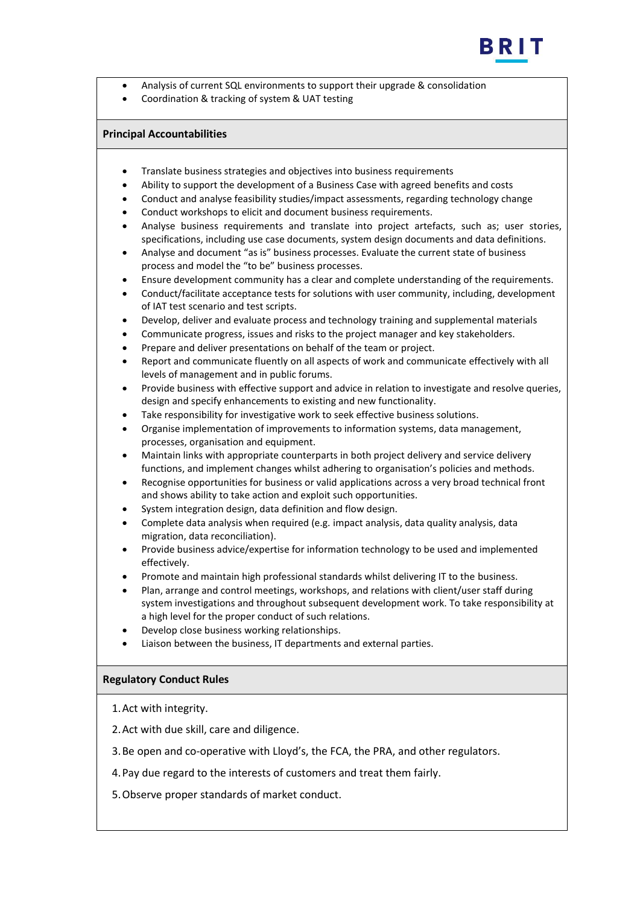

- Analysis of current SQL environments to support their upgrade & consolidation
- Coordination & tracking of system & UAT testing

#### **Principal Accountabilities**

- Translate business strategies and objectives into business requirements
- Ability to support the development of a Business Case with agreed benefits and costs
- Conduct and analyse feasibility studies/impact assessments, regarding technology change
- Conduct workshops to elicit and document business requirements.
- Analyse business requirements and translate into project artefacts, such as; user stories, specifications, including use case documents, system design documents and data definitions.
- Analyse and document "as is" business processes. Evaluate the current state of business process and model the "to be" business processes.
- Ensure development community has a clear and complete understanding of the requirements.
- Conduct/facilitate acceptance tests for solutions with user community, including, development of IAT test scenario and test scripts.
- Develop, deliver and evaluate process and technology training and supplemental materials
- Communicate progress, issues and risks to the project manager and key stakeholders.
- Prepare and deliver presentations on behalf of the team or project.
- Report and communicate fluently on all aspects of work and communicate effectively with all levels of management and in public forums.
- Provide business with effective support and advice in relation to investigate and resolve queries, design and specify enhancements to existing and new functionality.
- Take responsibility for investigative work to seek effective business solutions.
- Organise implementation of improvements to information systems, data management, processes, organisation and equipment.
- Maintain links with appropriate counterparts in both project delivery and service delivery functions, and implement changes whilst adhering to organisation's policies and methods.
- Recognise opportunities for business or valid applications across a very broad technical front and shows ability to take action and exploit such opportunities.
- System integration design, data definition and flow design.
- Complete data analysis when required (e.g. impact analysis, data quality analysis, data migration, data reconciliation).
- Provide business advice/expertise for information technology to be used and implemented effectively.
- Promote and maintain high professional standards whilst delivering IT to the business.
- Plan, arrange and control meetings, workshops, and relations with client/user staff during system investigations and throughout subsequent development work. To take responsibility at a high level for the proper conduct of such relations.
- Develop close business working relationships.
- Liaison between the business, IT departments and external parties.

### **Regulatory Conduct Rules**

1.Act with integrity.

- 2.Act with due skill, care and diligence.
- 3.Be open and co-operative with Lloyd's, the FCA, the PRA, and other regulators.
- 4.Pay due regard to the interests of customers and treat them fairly.
- 5.Observe proper standards of market conduct.